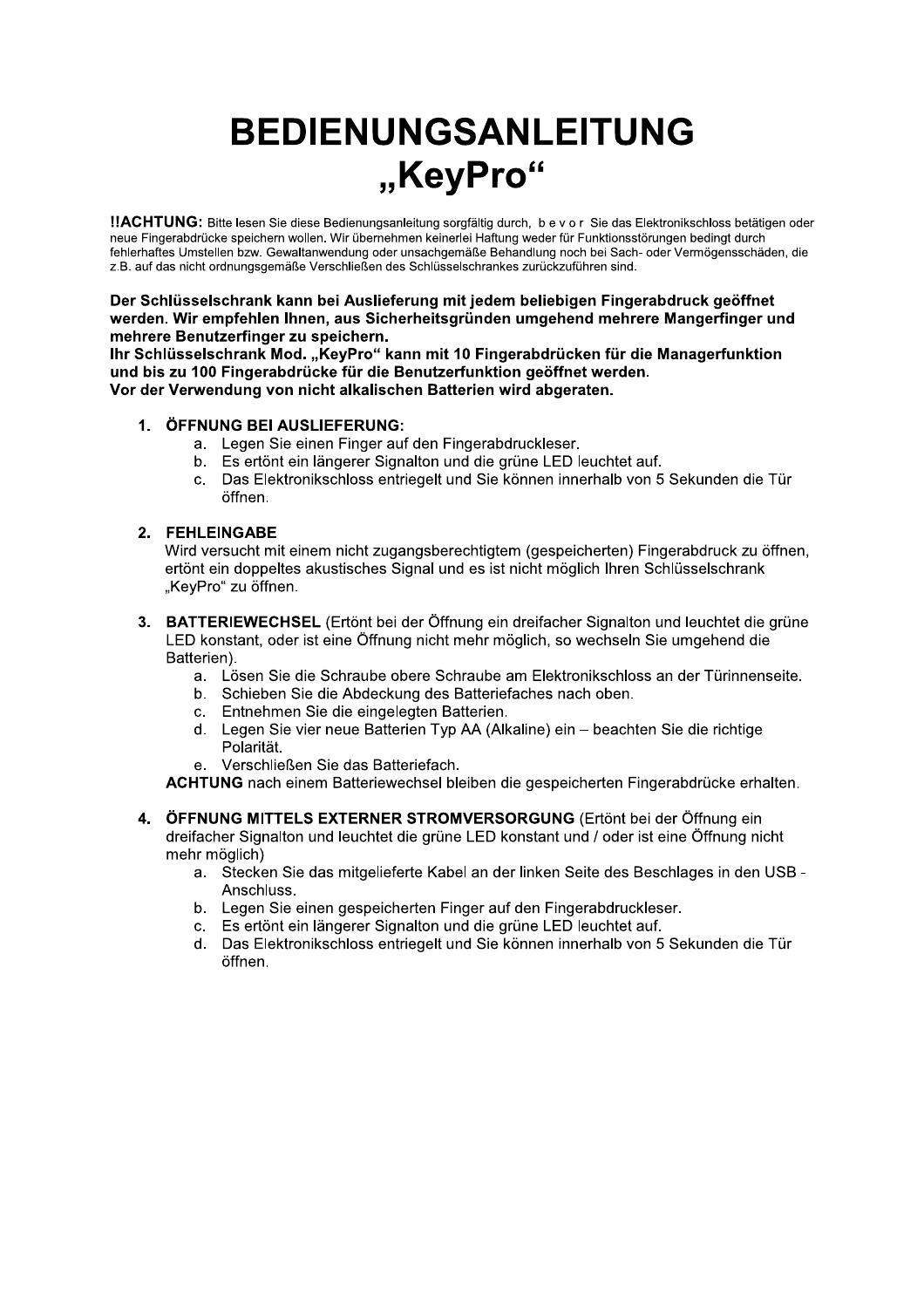# **BEDIENUNGSANLEITUNG** "KeyPro"

!!ACHTUNG: Bitte lesen Sie diese Bedienungsanleitung sorgfältig durch, b e v o r Sie das Elektronikschloss betätigen oder neue Fingerabdrücke speichern wollen. Wir übernehmen keinerlei Haftung weder für Funktionsstörungen bedingt durch fehlerhaftes Umstellen bzw. Gewaltanwendung oder unsachgemäße Behandlung noch bei Sach- oder Vermögensschäden, die z.B. auf das nicht ordnungsgemäße Verschließen des Schlüsselschrankes zurückzuführen sind.

Der Schlüsselschrank kann bei Auslieferung mit jedem beliebigen Fingerabdruck geöffnet werden. Wir empfehlen Ihnen, aus Sicherheitsgründen umgehend mehrere Mangerfinger und mehrere Benutzerfinger zu speichern.

Ihr Schlüsselschrank Mod. "KeyPro" kann mit 10 Fingerabdrücken für die Managerfunktion und bis zu 100 Fingerabdrücke für die Benutzerfunktion geöffnet werden. Vor der Verwendung von nicht alkalischen Batterien wird abgeraten.

#### 1. ÖFFNUNG BEI AUSLIEFERUNG:

- a. Legen Sie einen Finger auf den Fingerabdruckleser.
- b. Es ertönt ein längerer Signalton und die grüne LED leuchtet auf.
- c. Das Elektronikschloss entriegelt und Sie können innerhalb von 5 Sekunden die Tür öffnen.

#### 2. FEHLEINGABE

Wird versucht mit einem nicht zugangsberechtigtem (gespeicherten) Fingerabdruck zu öffnen, ertönt ein doppeltes akustisches Signal und es ist nicht möglich Ihren Schlüsselschrank "KeyPro" zu öffnen.

- 3. BATTERIEWECHSEL (Ertönt bei der Öffnung ein dreifacher Signalton und leuchtet die grüne LED konstant, oder ist eine Öffnung nicht mehr möglich, so wechseln Sie umgehend die Batterien).
	- a. Lösen Sie die Schraube obere Schraube am Elektronikschloss an der Türinnenseite.
	- b. Schieben Sie die Abdeckung des Batteriefaches nach oben.
	- c. Entnehmen Sie die eingelegten Batterien.
	- d. Legen Sie vier neue Batterien Typ AA (Alkaline) ein beachten Sie die richtige Polarität.
	- e. Verschließen Sie das Batteriefach.

ACHTUNG nach einem Batteriewechsel bleiben die gespeicherten Fingerabdrücke erhalten.

- ÖFFNUNG MITTELS EXTERNER STROMVERSORGUNG (Ertönt bei der Öffnung ein 4 dreifacher Signalton und leuchtet die grüne LED konstant und / oder ist eine Öffnung nicht mehr möglich)
	- a. Stecken Sie das mitgelieferte Kabel an der linken Seite des Beschlages in den USB -Anschluss.
	- b. Legen Sie einen gespeicherten Finger auf den Fingerabdruckleser.
	- c. Es ertönt ein längerer Signalton und die grüne LED leuchtet auf.
	- d. Das Elektronikschloss entriegelt und Sie können innerhalb von 5 Sekunden die Tür öffnen.